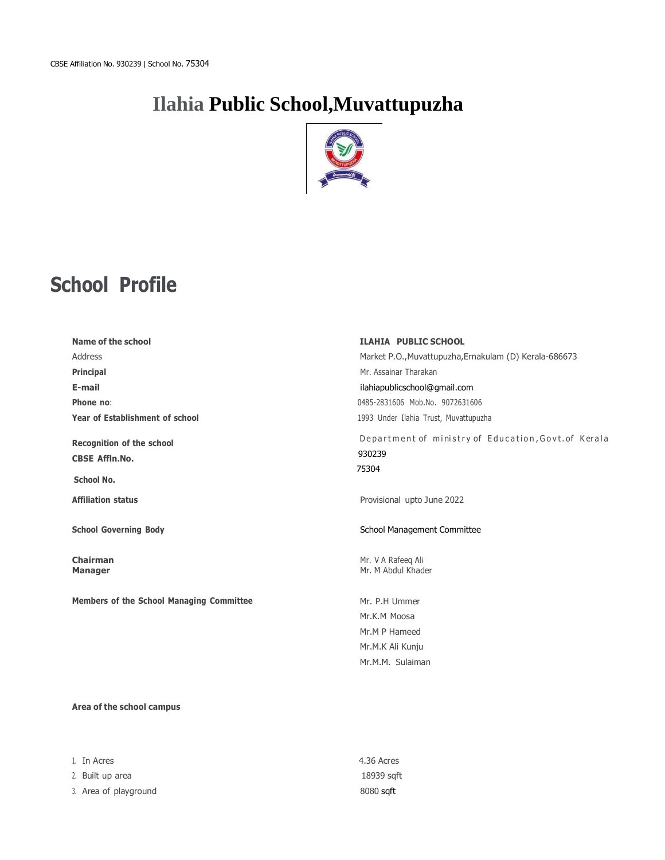# **[Ilahia](https://iisdammam.edu.sa/) Public School,Muvattupuzha**



# **School Profile**

| Name of the school                                                             | <b>ILAHIA PUBLIC SCHOOL</b>                                                            |  |
|--------------------------------------------------------------------------------|----------------------------------------------------------------------------------------|--|
| Address                                                                        | Market P.O., Muvattupuzha, Ernakulam (D) Kerala-686673                                 |  |
| <b>Principal</b>                                                               | Mr. Assainar Tharakan                                                                  |  |
| E-mail                                                                         | ilahiapublicschool@gmail.com                                                           |  |
| Phone no:                                                                      | 0485-2831606 Mob.No. 9072631606                                                        |  |
| Year of Establishment of school                                                | 1993 Under Ilahia Trust, Muvattupuzha                                                  |  |
| <b>Recognition of the school</b><br><b>CBSE Affln.No.</b><br><b>School No.</b> | Department of ministry of Education, Govt. of Kerala<br>930239<br>75304                |  |
| <b>Affiliation status</b>                                                      | Provisional upto June 2022                                                             |  |
| <b>School Governing Body</b>                                                   | School Management Committee                                                            |  |
| <b>Chairman</b><br><b>Manager</b>                                              | Mr. V A Rafeeg Ali<br>Mr. M Abdul Khader                                               |  |
| <b>Members of the School Managing Committee</b>                                | Mr. P.H Ummer<br>Mr.K.M Moosa<br>Mr.M P Hameed<br>Mr.M.K Ali Kunju<br>Mr.M.M. Sulaiman |  |

#### **Area of the school campus**

| 1. In Acres           | 4.36 Acres |
|-----------------------|------------|
| 2. Built up area      | 18939 saft |
| 3. Area of playground | 8080 sqft  |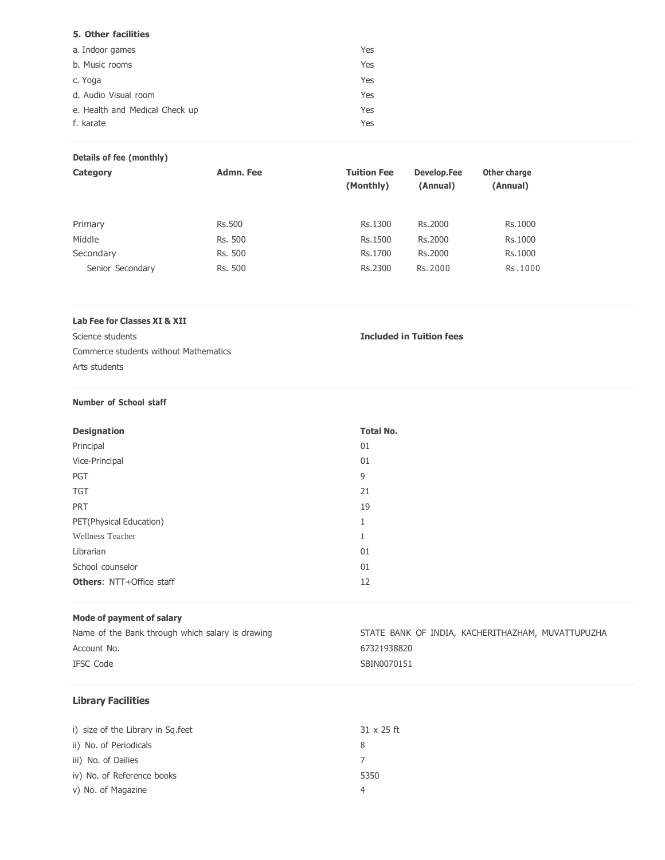| 5. Other facilities            |     |
|--------------------------------|-----|
| a. Indoor games                | Yes |
| b. Music rooms                 | Yes |
| c. Yoga                        | Yes |
| d. Audio Visual room           | Yes |
| e. Health and Medical Check up | Yes |
| f. karate                      | Yes |

### **Details of fee (monthly)**

| Category         | Admn. Fee     | <b>Tuition Fee</b><br>(Monthly) | Develop.Fee<br>(Annual) | Other charge<br>(Annual) |
|------------------|---------------|---------------------------------|-------------------------|--------------------------|
| Primary          | <b>Rs.500</b> | Rs.1300                         | Rs.2000                 | Rs.1000                  |
| Middle           | Rs. 500       | Rs.1500                         | Rs.2000                 | Rs.1000                  |
| Secondary        | Rs. 500       | Rs.1700                         | Rs.2000                 | Rs.1000                  |
| Senior Secondary | Rs. 500       | Rs.2300                         | Rs. 2000                | Rs.1000                  |

#### **Lab Fee for Classes XI & XII**

Science students **Included in Tuition fees**

Commerce students without Mathematics Arts students

#### **Number of School staff**

| <b>Designation</b>              | <b>Total No.</b>   |
|---------------------------------|--------------------|
| Principal                       | 01                 |
| Vice-Principal                  | 01                 |
| PGT                             | 9                  |
| <b>TGT</b>                      | 21                 |
| <b>PRT</b>                      | 19                 |
| PET(Physical Education)         | $\mathbf{1}$<br>÷. |
| Wellness Teacher                |                    |
| Librarian                       | 01                 |
| School counselor                | 01                 |
| <b>Others: NTT+Office staff</b> | 12                 |

### **Mode of payment of salary**

| Name of the Bank through which salary is drawing | STATE BANK OF INDIA, KACHERITHAZHAM, MUVATTUPUZHA |
|--------------------------------------------------|---------------------------------------------------|
| Account No.                                      | 67321938820                                       |
| IFSC Code                                        | SBIN0070151                                       |

# **Library Facilities**

| i) size of the Library in Sq.feet | $31 \times 25$ ft |
|-----------------------------------|-------------------|
| ii) No. of Periodicals            | 8                 |
| iii) No. of Dailies               |                   |
| iv) No. of Reference books        | 5350              |
| v) No. of Magazine                |                   |